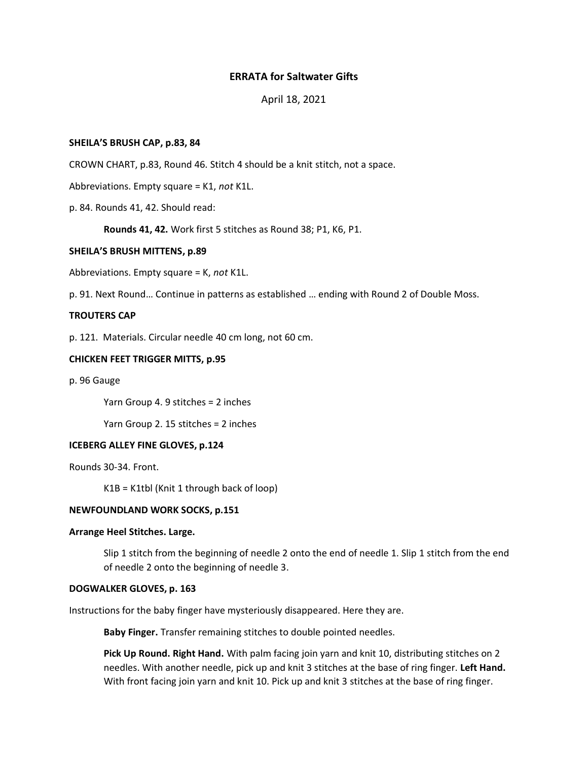# **ERRATA for Saltwater Gifts**

# April 18, 2021

# **SHEILA'S BRUSH CAP, p.83, 84**

CROWN CHART, p.83, Round 46. Stitch 4 should be a knit stitch, not a space.

Abbreviations. Empty square = K1, *not* K1L.

p. 84. Rounds 41, 42. Should read:

**Rounds 41, 42.** Work first 5 stitches as Round 38; P1, K6, P1.

#### **SHEILA'S BRUSH MITTENS, p.89**

Abbreviations. Empty square = K, *not* K1L.

p. 91. Next Round… Continue in patterns as established … ending with Round 2 of Double Moss.

## **TROUTERS CAP**

p. 121. Materials. Circular needle 40 cm long, not 60 cm.

# **CHICKEN FEET TRIGGER MITTS, p.95**

p. 96 Gauge

Yarn Group 4. 9 stitches = 2 inches

Yarn Group 2. 15 stitches = 2 inches

#### **ICEBERG ALLEY FINE GLOVES, p.124**

Rounds 30-34. Front.

K1B = K1tbl (Knit 1 through back of loop)

# **NEWFOUNDLAND WORK SOCKS, p.151**

# **Arrange Heel Stitches. Large.**

Slip 1 stitch from the beginning of needle 2 onto the end of needle 1. Slip 1 stitch from the end of needle 2 onto the beginning of needle 3.

## **DOGWALKER GLOVES, p. 163**

Instructions for the baby finger have mysteriously disappeared. Here they are.

**Baby Finger.** Transfer remaining stitches to double pointed needles.

**Pick Up Round. Right Hand.** With palm facing join yarn and knit 10, distributing stitches on 2 needles. With another needle, pick up and knit 3 stitches at the base of ring finger. **Left Hand.** With front facing join yarn and knit 10. Pick up and knit 3 stitches at the base of ring finger.